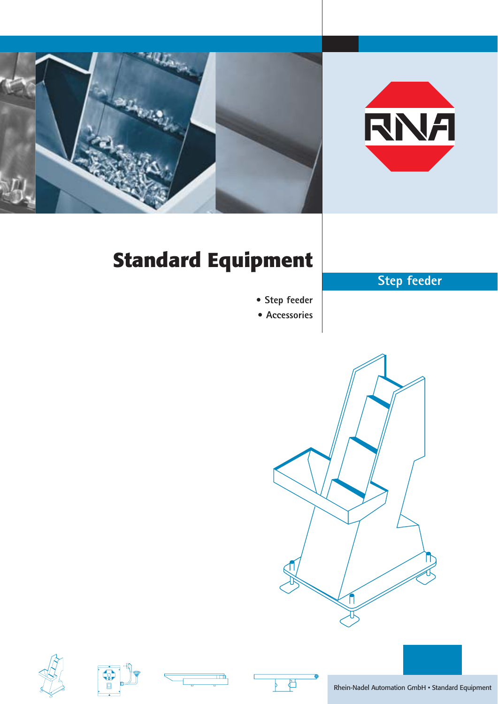



# **Standard Equipment**

## **Step feeder**

- **Step feeder**
- **Accessories**









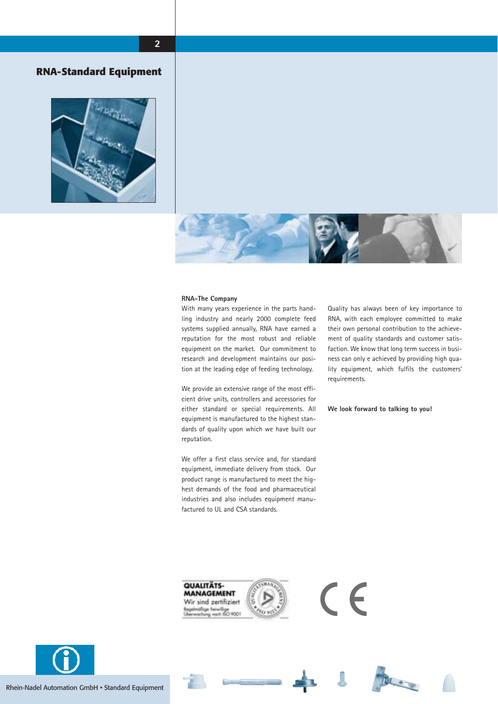

#### **RNA-Standard Equipment**





#### **RNA-The Company**

With many years experience in the parts handling industry and nearly 2000 complete feed systems supplied annually, RNA have earned a reputation for the most robust and reliable equipment on the market. Our commitment to research and development maintains our position at the leading edge of feeding technology.

We provide an extensive range of the most efficient drive units, controllers and accessories for either standard or special requirements. All equipment is manufactured to the highest standards of quality upon which we have built our reputation.

We offer a first class service and, for standard equipment, immediate delivery from stock. Our product range is manufactured to meet the highest demands of the food and pharmaceutical industries and also includes equipment manufactured to UL and CSA standards.

Quality has always been of key importance to RNA, with each employee committed to make their own personal contribution to the achievement of quality standards and customer satisfaction. We know that long term success in business can only e achieved by providing high quality equipment, which fulfils the customers' requirements.

**We look forward to talking to you!**



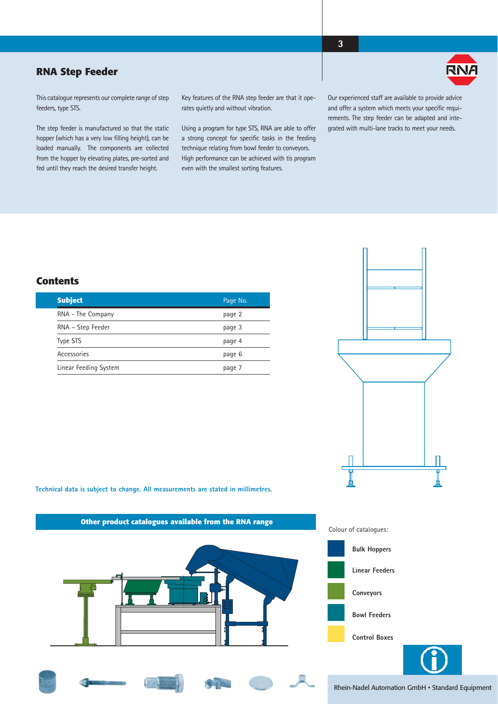#### **RNA Step Feeder**



This catalogue represents our complete range of step feeders, type STS.

The step feeder is manufactured so that the static hopper (which has a very low filling height), can be loaded manually. The components are collected from the hopper by elevating plates, pre-sorted and fed until they reach the desired transfer height.

Key features of the RNA step feeder are that it operates quietly and without vibration.

Using a program for type STS, RNA are able to offer a strong concept for specific tasks in the feeding technique relating from bowl feeder to conveyors. High performance can be achieved with tis program even with the smallest sorting features.

Our experienced staff are available to provide advice and offer a system which meets your specific requirements. The step feeder can be adapted and integrated with multi-lane tracks to meet your needs.

**3**

#### **Contents**

| <b>Subject</b>        | Page No. |
|-----------------------|----------|
| RNA - The Company     | page 2   |
| RNA - Step Feeder     | page 3   |
| Type STS              | page 4   |
| Accessories           | page 6   |
| Linear Feeding System | page 7   |



**Technical data is subject to change. All measurements are stated in millimetres.**







Rhein-Nadel Automation GmbH • Standard Equipment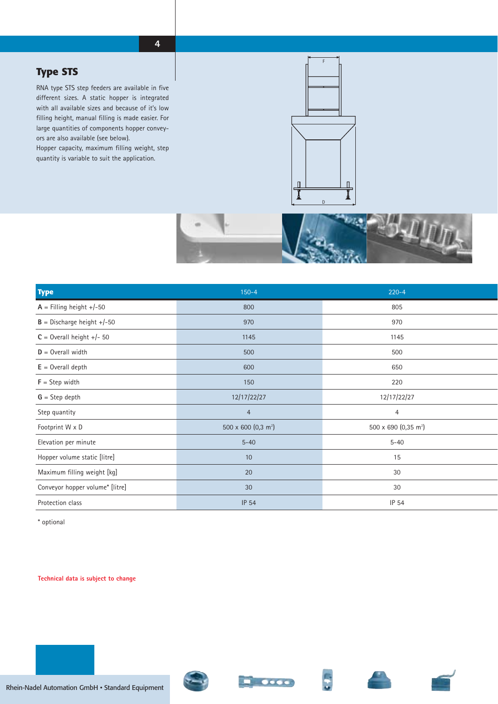### **Type STS**

RNA type STS step feeders are available in five different sizes. A static hopper is integrated with all available sizes and because of it's low filling height, manual filling is made easier. For large quantities of components hopper conveyors are also available (see below).

Hopper capacity, maximum filling weight, step quantity is variable to suit the application.





| <b>Type</b>                     | $150 - 4$                       | $220 - 4$                        |
|---------------------------------|---------------------------------|----------------------------------|
| $A =$ Filling height +/-50      | 800                             | 805                              |
| $B =$ Discharge height +/-50    | 970                             | 970                              |
| $C =$ Overall height +/- 50     | 1145                            | 1145                             |
| $D =$ Overall width             | 500                             | 500                              |
| $E =$ Overall depth             | 600                             | 650                              |
| $F =$ Step width                | 150                             | 220                              |
| $G =$ Step depth                | 12/17/22/27                     | 12/17/22/27                      |
| Step quantity                   | $\overline{4}$                  | $\overline{4}$                   |
| Footprint W x D                 | 500 x 600 (0,3 m <sup>2</sup> ) | 500 x 690 (0,35 m <sup>2</sup> ) |
| Elevation per minute            | $5 - 40$                        | $5 - 40$                         |
| Hopper volume static [litre]    | 10                              | 15                               |
| Maximum filling weight [kg]     | 20                              | 30                               |
| Conveyor hopper volume* [litre] | 30                              | 30                               |
| Protection class                | <b>IP 54</b>                    | IP 54                            |

\* optional

#### **Technical data is subject to change**







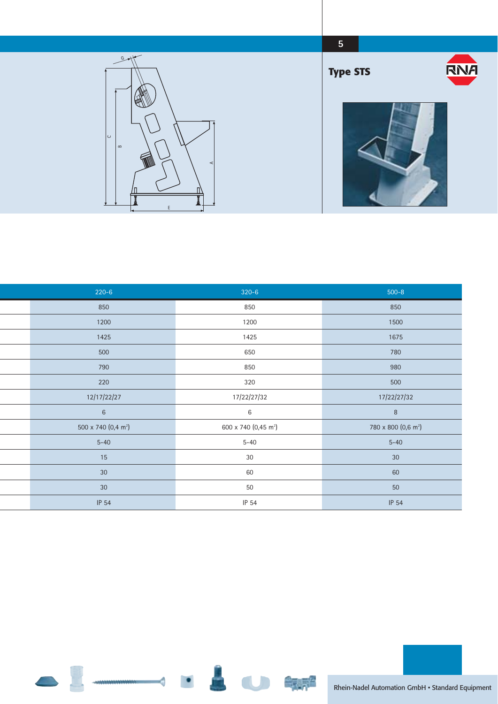

| $220 - 6$                       | $320 - 6$                        | $500 - 8$                       |
|---------------------------------|----------------------------------|---------------------------------|
| 850                             | 850                              | 850                             |
| 1200                            | 1200                             | 1500                            |
| 1425                            | 1425                             | 1675                            |
| 500                             | 650                              | 780                             |
| 790                             | 850                              | 980                             |
| 220                             | 320                              | 500                             |
| 12/17/22/27                     | 17/22/27/32                      | 17/22/27/32                     |
| $\,6\,$                         | 6                                | $\, 8$                          |
| 500 x 740 (0,4 m <sup>2</sup> ) | 600 x 740 (0,45 m <sup>2</sup> ) | 780 x 800 (0,6 m <sup>2</sup> ) |
| $5 - 40$                        | $5 - 40$                         | $5 - 40$                        |
| 15                              | $30\,$                           | 30                              |
| 30                              | 60                               | 60                              |
| 30                              | 50                               | 50                              |
| IP 54                           | IP 54                            | IP 54                           |

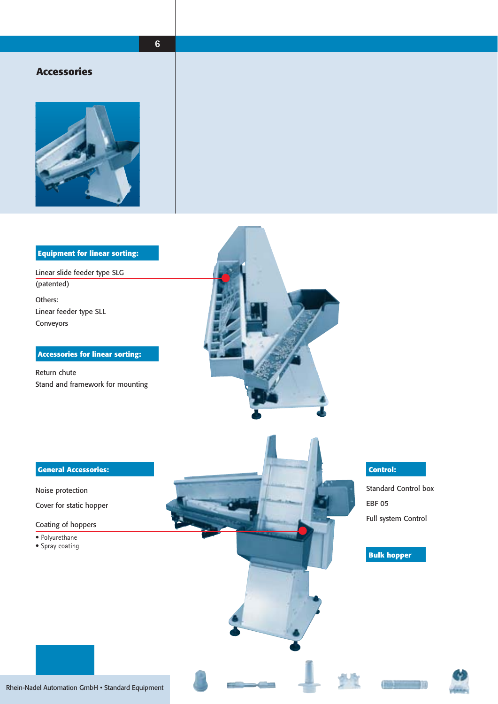### **6**

#### **Accessories**



#### **Equipment for linear sorting:**

Others: Linear feeder type SLL Conveyors Linear slide feeder type SLG (patented)

#### **Accessories for linear sorting:**

Return chute Stand and framework for mounting





Noise protection

Cover for static hopper

Coating of hoppers

- Polyurethane
- Spray coating

Standard Control box EBF 05 Full system Control

#### **Bulk hopper**





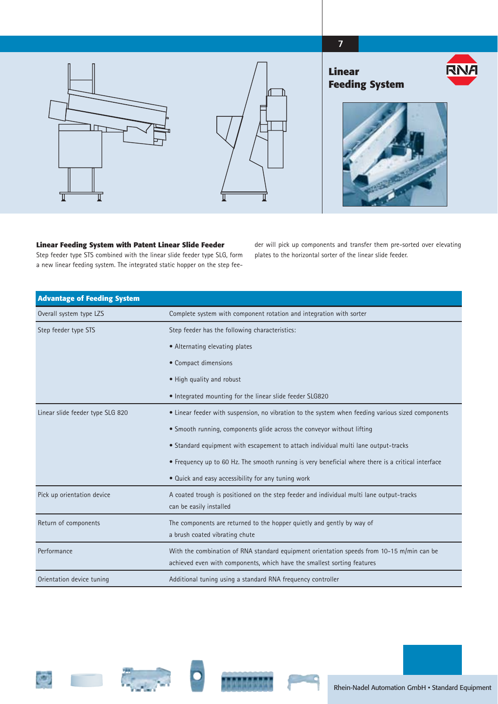#### **7**



#### **Linear Feeding System with Patent Linear Slide Feeder**

Step feeder type STS combined with the linear slide feeder type SLG, form a new linear feeding system. The integrated static hopper on the step feeder will pick up components and transfer them pre-sorted over elevating plates to the horizontal sorter of the linear slide feeder.

| <b>Advantage of Feeding System</b> |                                                                                                                                                                      |
|------------------------------------|----------------------------------------------------------------------------------------------------------------------------------------------------------------------|
| Overall system type LZS            | Complete system with component rotation and integration with sorter                                                                                                  |
| Step feeder type STS               | Step feeder has the following characteristics:                                                                                                                       |
|                                    | • Alternating elevating plates                                                                                                                                       |
|                                    | • Compact dimensions                                                                                                                                                 |
|                                    | • High quality and robust                                                                                                                                            |
|                                    | • Integrated mounting for the linear slide feeder SLG820                                                                                                             |
| Linear slide feeder type SLG 820   | • Linear feeder with suspension, no vibration to the system when feeding various sized components                                                                    |
|                                    | • Smooth running, components glide across the conveyor without lifting                                                                                               |
|                                    | • Standard equipment with escapement to attach individual multi lane output-tracks                                                                                   |
|                                    | • Frequency up to 60 Hz. The smooth running is very beneficial where there is a critical interface                                                                   |
|                                    | • Quick and easy accessibility for any tuning work                                                                                                                   |
| Pick up orientation device         | A coated trough is positioned on the step feeder and individual multi lane output-tracks<br>can be easily installed                                                  |
| Return of components               | The components are returned to the hopper quietly and gently by way of<br>a brush coated vibrating chute                                                             |
| Performance                        | With the combination of RNA standard equipment orientation speeds from 10-15 m/min can be<br>achieved even with components, which have the smallest sorting features |
| Orientation device tuning          | Additional tuning using a standard RNA frequency controller                                                                                                          |